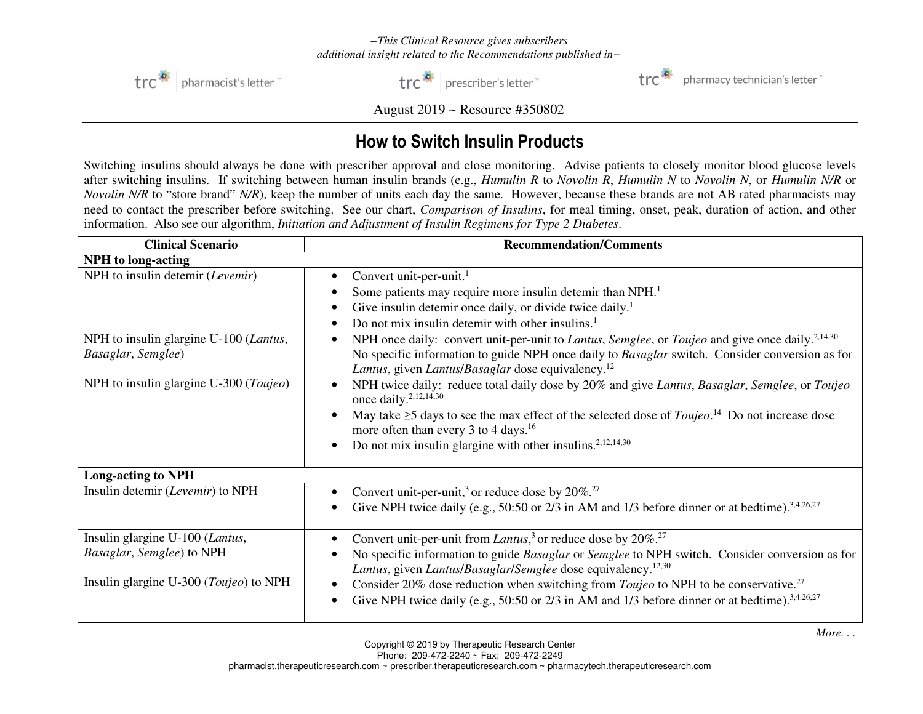## *−This Clinical Resource gives subscribers additional insight related to the Recommendations published in−*



trc<sup>\*</sup> | prescriber's letter



trc<sup>3</sup> | pharmacy technician's letter

August 2019 ~ Resource #350802

## How to Switch Insulin Products

Switching insulins should always be done with prescriber approval and close monitoring. Advise patients to closely monitor blood glucose levels after switching insulins. If switching between human insulin brands (e.g., *Humulin R* to *Novolin R*, *Humulin N* to *Novolin N*, or *Humulin N/R* or *Novolin N/R* to "store brand" *N/R*), keep the number of units each day the same. However, because these brands are not AB rated pharmacists may need to contact the prescriber before switching. See our chart, *Comparison of Insulins*, for meal timing, onset, peak, duration of action, and other information. Also see our algorithm, *Initiation and Adjustment of Insulin Regimens for Type 2 Diabetes*.

| <b>Clinical Scenario</b>                                                                               | <b>Recommendation/Comments</b>                                                                                                                                                                                                                                                                                                                                                                                                                                                                                          |
|--------------------------------------------------------------------------------------------------------|-------------------------------------------------------------------------------------------------------------------------------------------------------------------------------------------------------------------------------------------------------------------------------------------------------------------------------------------------------------------------------------------------------------------------------------------------------------------------------------------------------------------------|
| <b>NPH</b> to long-acting                                                                              |                                                                                                                                                                                                                                                                                                                                                                                                                                                                                                                         |
| NPH to insulin detemir (Levemir)                                                                       | Convert unit-per-unit. <sup>1</sup><br>Some patients may require more insulin detemir than NPH. <sup>1</sup><br>Give insulin detemir once daily, or divide twice daily. <sup>1</sup><br>Do not mix insulin detemir with other insulins. <sup>1</sup>                                                                                                                                                                                                                                                                    |
| NPH to insulin glargine U-100 (Lantus,<br>Basaglar, Semglee)<br>NPH to insulin glargine U-300 (Toujeo) | NPH once daily: convert unit-per-unit to <i>Lantus</i> , <i>Semglee</i> , or <i>Toujeo</i> and give once daily. <sup>2,14,30</sup><br>$\bullet$<br>No specific information to guide NPH once daily to Basaglar switch. Consider conversion as for<br>Lantus, given Lantus/Basaglar dose equivalency. <sup>12</sup><br>NPH twice daily: reduce total daily dose by 20% and give Lantus, Basaglar, Semglee, or Toujeo<br>$\bullet$<br>once daily. <sup>2,12,14,30</sup>                                                   |
|                                                                                                        | May take $\geq$ 5 days to see the max effect of the selected dose of <i>Toujeo</i> . <sup>14</sup> Do not increase dose<br>more often than every 3 to 4 days. <sup>16</sup><br>Do not mix insulin glargine with other insulins. <sup>2,12,14,30</sup><br>$\bullet$                                                                                                                                                                                                                                                      |
| <b>Long-acting to NPH</b>                                                                              |                                                                                                                                                                                                                                                                                                                                                                                                                                                                                                                         |
| Insulin detemir (Levemir) to NPH                                                                       | Convert unit-per-unit, <sup>3</sup> or reduce dose by $20\%$ . <sup>27</sup><br>Give NPH twice daily (e.g., 50:50 or 2/3 in AM and 1/3 before dinner or at bedtime). <sup>3,4,26,27</sup>                                                                                                                                                                                                                                                                                                                               |
| Insulin glargine U-100 (Lantus,<br>Basaglar, Semglee) to NPH<br>Insulin glargine U-300 (Toujeo) to NPH | Convert unit-per-unit from Lantus, <sup>3</sup> or reduce dose by $20\%$ . <sup>27</sup><br>No specific information to guide Basaglar or Semglee to NPH switch. Consider conversion as for<br>Lantus, given Lantus/Basaglar/Semglee dose equivalency. <sup>12,30</sup><br>Consider 20% dose reduction when switching from <i>Toujeo</i> to NPH to be conservative. <sup>27</sup><br>$\bullet$<br>Give NPH twice daily (e.g., 50:50 or 2/3 in AM and 1/3 before dinner or at bedtime). <sup>3,4.26,27</sup><br>$\bullet$ |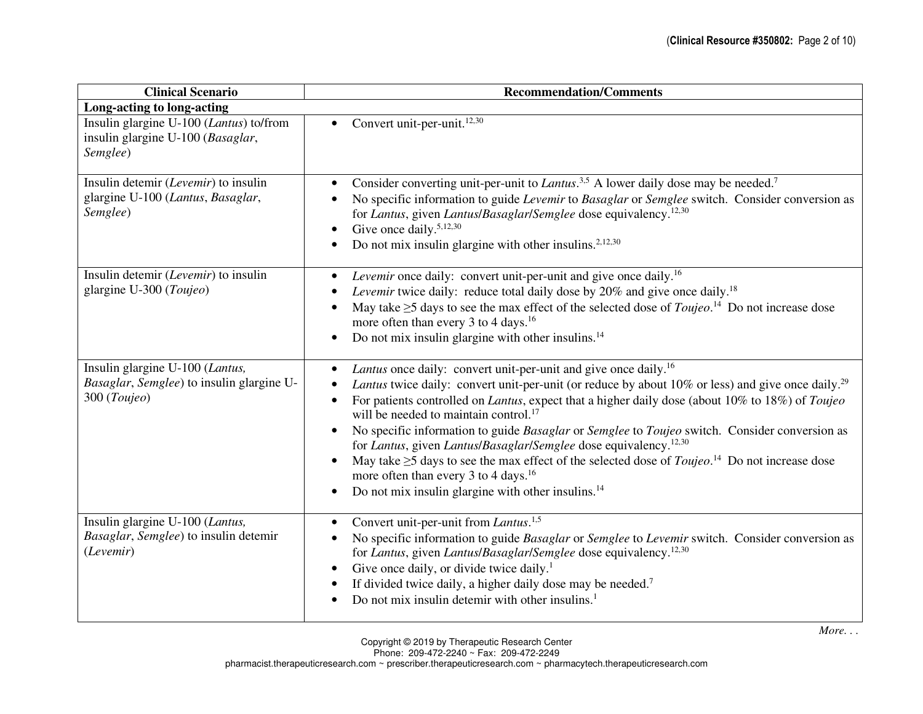| <b>Clinical Scenario</b>                                                                     | <b>Recommendation/Comments</b>                                                                                                                                                                                                                                                                                                                                                                                                                                                                                                                                                                                                                                                                                                                                                                                                                            |
|----------------------------------------------------------------------------------------------|-----------------------------------------------------------------------------------------------------------------------------------------------------------------------------------------------------------------------------------------------------------------------------------------------------------------------------------------------------------------------------------------------------------------------------------------------------------------------------------------------------------------------------------------------------------------------------------------------------------------------------------------------------------------------------------------------------------------------------------------------------------------------------------------------------------------------------------------------------------|
| Long-acting to long-acting                                                                   |                                                                                                                                                                                                                                                                                                                                                                                                                                                                                                                                                                                                                                                                                                                                                                                                                                                           |
| Insulin glargine U-100 (Lantus) to/from<br>insulin glargine U-100 (Basaglar,<br>Semglee)     | Convert unit-per-unit. <sup>12,30</sup><br>$\bullet$                                                                                                                                                                                                                                                                                                                                                                                                                                                                                                                                                                                                                                                                                                                                                                                                      |
| Insulin detemir (Levemir) to insulin<br>glargine U-100 (Lantus, Basaglar,<br>Semglee)        | Consider converting unit-per-unit to <i>Lantus</i> . <sup>3,5</sup> A lower daily dose may be needed. <sup>7</sup><br>$\bullet$<br>No specific information to guide Levemir to Basaglar or Semglee switch. Consider conversion as<br>$\bullet$<br>for Lantus, given Lantus/Basaglar/Semglee dose equivalency. <sup>12,30</sup><br>Give once daily. <sup>5,12,30</sup><br>$\bullet$<br>Do not mix insulin glargine with other insulins. <sup>2,12,30</sup>                                                                                                                                                                                                                                                                                                                                                                                                 |
| Insulin detemir (Levemir) to insulin<br>glargine U-300 (Toujeo)                              | Levemir once daily: convert unit-per-unit and give once daily. <sup>16</sup><br>$\bullet$<br>Levemir twice daily: reduce total daily dose by 20% and give once daily. <sup>18</sup><br>May take $\geq$ 5 days to see the max effect of the selected dose of <i>Toujeo</i> . <sup>14</sup> Do not increase dose<br>$\bullet$<br>more often than every 3 to 4 days. <sup>16</sup><br>Do not mix insulin glargine with other insulins. $^{14}$<br>$\bullet$                                                                                                                                                                                                                                                                                                                                                                                                  |
| Insulin glargine U-100 (Lantus,<br>Basaglar, Semglee) to insulin glargine U-<br>300 (Toujeo) | Lantus once daily: convert unit-per-unit and give once daily. <sup>16</sup><br>$\bullet$<br>Lantus twice daily: convert unit-per-unit (or reduce by about 10% or less) and give once daily. <sup>29</sup><br>For patients controlled on <i>Lantus</i> , expect that a higher daily dose (about 10% to 18%) of <i>Toujeo</i><br>will be needed to maintain control. <sup>17</sup><br>No specific information to guide Basaglar or Semglee to Toujeo switch. Consider conversion as<br>$\bullet$<br>for Lantus, given Lantus/Basaglar/Semglee dose equivalency. <sup>12,30</sup><br>May take $\geq$ 5 days to see the max effect of the selected dose of <i>Toujeo</i> . <sup>14</sup> Do not increase dose<br>$\bullet$<br>more often than every 3 to 4 days. <sup>16</sup><br>Do not mix insulin glargine with other insulins. <sup>14</sup><br>$\bullet$ |
| Insulin glargine U-100 (Lantus,<br>Basaglar, Semglee) to insulin detemir<br>(Levemir)        | Convert unit-per-unit from Lantus. <sup>1,5</sup><br>$\bullet$<br>No specific information to guide Basaglar or Semglee to Levemir switch. Consider conversion as<br>$\bullet$<br>for Lantus, given Lantus/Basaglar/Semglee dose equivalency. <sup>12,30</sup><br>Give once daily, or divide twice daily. <sup>1</sup><br>$\bullet$<br>If divided twice daily, a higher daily dose may be needed. <sup>7</sup><br>$\bullet$<br>Do not mix insulin detemir with other insulins. <sup>1</sup>                                                                                                                                                                                                                                                                                                                                                                |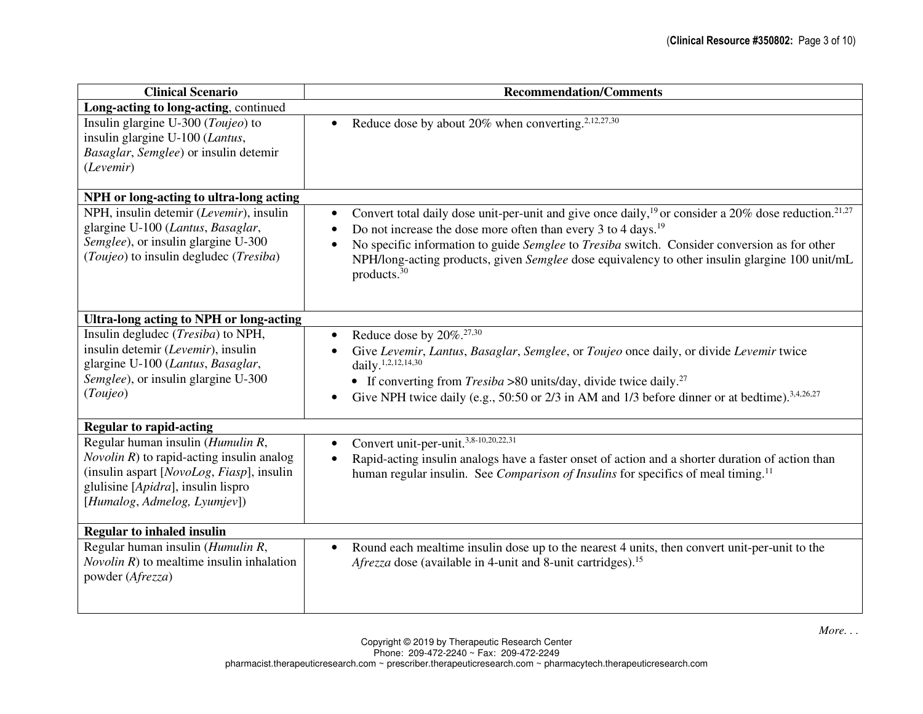| <b>Clinical Scenario</b>                                                                                                                                                                                           | <b>Recommendation/Comments</b>                                                                                                                                                                                                                                                                                                                                                                                                                                                |
|--------------------------------------------------------------------------------------------------------------------------------------------------------------------------------------------------------------------|-------------------------------------------------------------------------------------------------------------------------------------------------------------------------------------------------------------------------------------------------------------------------------------------------------------------------------------------------------------------------------------------------------------------------------------------------------------------------------|
| Long-acting to long-acting, continued                                                                                                                                                                              |                                                                                                                                                                                                                                                                                                                                                                                                                                                                               |
| Insulin glargine U-300 (Toujeo) to<br>insulin glargine U-100 (Lantus,<br>Basaglar, Semglee) or insulin detemir<br>(Levemir)                                                                                        | Reduce dose by about 20% when converting. <sup>2,12,27,30</sup><br>$\bullet$                                                                                                                                                                                                                                                                                                                                                                                                  |
| NPH or long-acting to ultra-long acting                                                                                                                                                                            |                                                                                                                                                                                                                                                                                                                                                                                                                                                                               |
| NPH, insulin detemir (Levemir), insulin<br>glargine U-100 (Lantus, Basaglar,<br>Semglee), or insulin glargine U-300<br>(Toujeo) to insulin degludec (Tresiba)                                                      | Convert total daily dose unit-per-unit and give once daily, <sup>19</sup> or consider a 20% dose reduction. <sup>21,27</sup><br>$\bullet$<br>Do not increase the dose more often than every 3 to 4 days. <sup>19</sup><br>$\bullet$<br>No specific information to guide Semglee to Tresiba switch. Consider conversion as for other<br>$\bullet$<br>NPH/long-acting products, given Semglee dose equivalency to other insulin glargine 100 unit/mL<br>products. <sup>30</sup> |
| Ultra-long acting to NPH or long-acting                                                                                                                                                                            |                                                                                                                                                                                                                                                                                                                                                                                                                                                                               |
| Insulin degludec ( <i>Tresiba</i> ) to NPH,<br>insulin detemir (Levemir), insulin<br>glargine U-100 (Lantus, Basaglar,<br>Semglee), or insulin glargine U-300<br>(Toujeo)                                          | Reduce dose by $20\%$ . <sup>27,30</sup><br>$\bullet$<br>Give Levemir, Lantus, Basaglar, Semglee, or Toujeo once daily, or divide Levemir twice<br>$\bullet$<br>daily. <sup>1,2,12,14,30</sup><br>• If converting from $Tresiba > 80$ units/day, divide twice daily. <sup>27</sup><br>Give NPH twice daily (e.g., 50:50 or 2/3 in AM and 1/3 before dinner or at bedtime). <sup>3,4,26,27</sup>                                                                               |
| <b>Regular to rapid-acting</b>                                                                                                                                                                                     |                                                                                                                                                                                                                                                                                                                                                                                                                                                                               |
| Regular human insulin ( <i>Humulin R</i> ,<br><i>Novolin R</i> ) to rapid-acting insulin analog<br>(insulin aspart [NovoLog, Fiasp], insulin<br>glulisine [Apidra], insulin lispro<br>[Humalog, Admelog, Lyumjev]) | Convert unit-per-unit. <sup>3,8-10,20,22,31</sup><br>$\bullet$<br>Rapid-acting insulin analogs have a faster onset of action and a shorter duration of action than<br>$\bullet$<br>human regular insulin. See Comparison of Insulins for specifics of meal timing. <sup>11</sup>                                                                                                                                                                                              |
| <b>Regular to inhaled insulin</b>                                                                                                                                                                                  |                                                                                                                                                                                                                                                                                                                                                                                                                                                                               |
| Regular human insulin (Humulin R,<br><i>Novolin R</i> ) to mealtime insulin inhalation<br>powder (Afrezza)                                                                                                         | Round each mealtime insulin dose up to the nearest 4 units, then convert unit-per-unit to the<br>$\bullet$<br>Afrezza dose (available in 4-unit and 8-unit cartridges). <sup>15</sup>                                                                                                                                                                                                                                                                                         |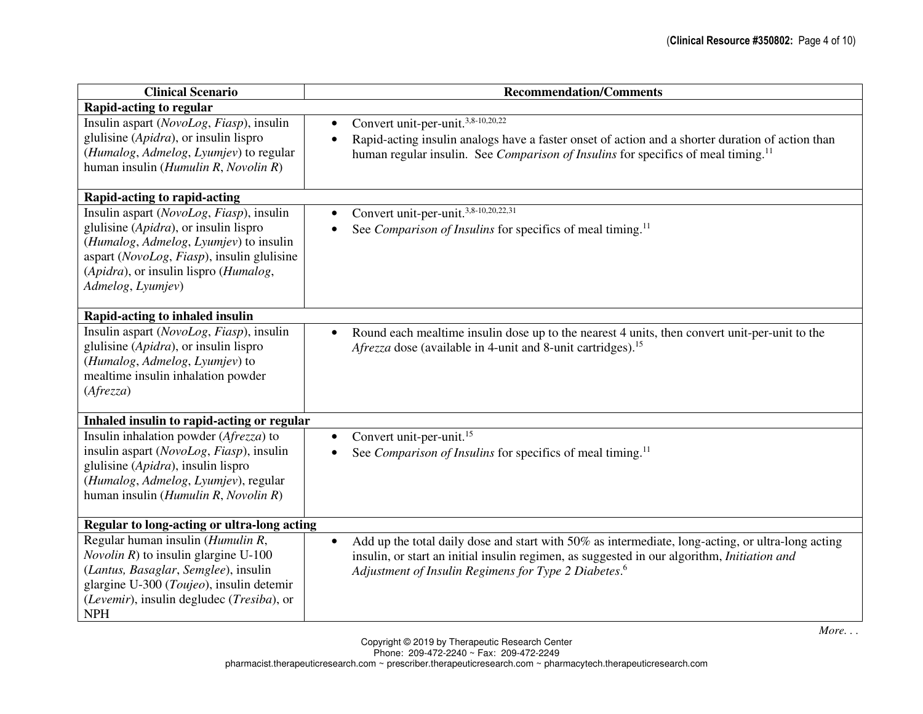| <b>Clinical Scenario</b>                                                                                                                                                                                                                | <b>Recommendation/Comments</b>                                                                                                                                                                                                                                                           |
|-----------------------------------------------------------------------------------------------------------------------------------------------------------------------------------------------------------------------------------------|------------------------------------------------------------------------------------------------------------------------------------------------------------------------------------------------------------------------------------------------------------------------------------------|
| <b>Rapid-acting to regular</b>                                                                                                                                                                                                          |                                                                                                                                                                                                                                                                                          |
| Insulin aspart (NovoLog, Fiasp), insulin<br>glulisine ( <i>Apidra</i> ), or insulin lispro<br>(Humalog, Admelog, Lyumjev) to regular<br>human insulin (Humulin R, Novolin R)                                                            | Convert unit-per-unit. <sup>3,8-10,20,22</sup><br>$\bullet$<br>Rapid-acting insulin analogs have a faster onset of action and a shorter duration of action than<br>$\bullet$<br>human regular insulin. See Comparison of Insulins for specifics of meal timing. <sup>11</sup>            |
| Rapid-acting to rapid-acting                                                                                                                                                                                                            |                                                                                                                                                                                                                                                                                          |
| Insulin aspart (NovoLog, Fiasp), insulin<br>glulisine (Apidra), or insulin lispro<br>(Humalog, Admelog, Lyumjev) to insulin<br>aspart (NovoLog, Fiasp), insulin glulisine<br>(Apidra), or insulin lispro (Humalog,<br>Admelog, Lyumjev) | Convert unit-per-unit. <sup>3,8-10,20,22,31</sup><br>See Comparison of Insulins for specifics of meal timing. <sup>11</sup>                                                                                                                                                              |
| Rapid-acting to inhaled insulin                                                                                                                                                                                                         |                                                                                                                                                                                                                                                                                          |
| Insulin aspart (NovoLog, Fiasp), insulin<br>glulisine ( <i>Apidra</i> ), or insulin lispro<br>(Humalog, Admelog, Lyumjev) to<br>mealtime insulin inhalation powder<br>(Afrezza)                                                         | Round each mealtime insulin dose up to the nearest 4 units, then convert unit-per-unit to the<br>$\bullet$<br>Afrezza dose (available in 4-unit and 8-unit cartridges). <sup>15</sup>                                                                                                    |
| Inhaled insulin to rapid-acting or regular                                                                                                                                                                                              |                                                                                                                                                                                                                                                                                          |
| Insulin inhalation powder (Afrezza) to<br>insulin aspart (NovoLog, Fiasp), insulin<br>glulisine (Apidra), insulin lispro<br>(Humalog, Admelog, Lyumjev), regular<br>human insulin (Humulin R, Novolin R)                                | Convert unit-per-unit. <sup>15</sup><br>$\bullet$<br>See Comparison of Insulins for specifics of meal timing. <sup>11</sup>                                                                                                                                                              |
| Regular to long-acting or ultra-long acting                                                                                                                                                                                             |                                                                                                                                                                                                                                                                                          |
| Regular human insulin (Humulin R,<br><i>Novolin R</i> ) to insulin glargine U-100<br>(Lantus, Basaglar, Semglee), insulin<br>glargine U-300 (Toujeo), insulin detemir<br>(Levemir), insulin degludec (Tresiba), or<br><b>NPH</b>        | Add up the total daily dose and start with 50% as intermediate, long-acting, or ultra-long acting<br>$\bullet$<br>insulin, or start an initial insulin regimen, as suggested in our algorithm, <i>Initiation and</i><br>Adjustment of Insulin Regimens for Type 2 Diabetes. <sup>6</sup> |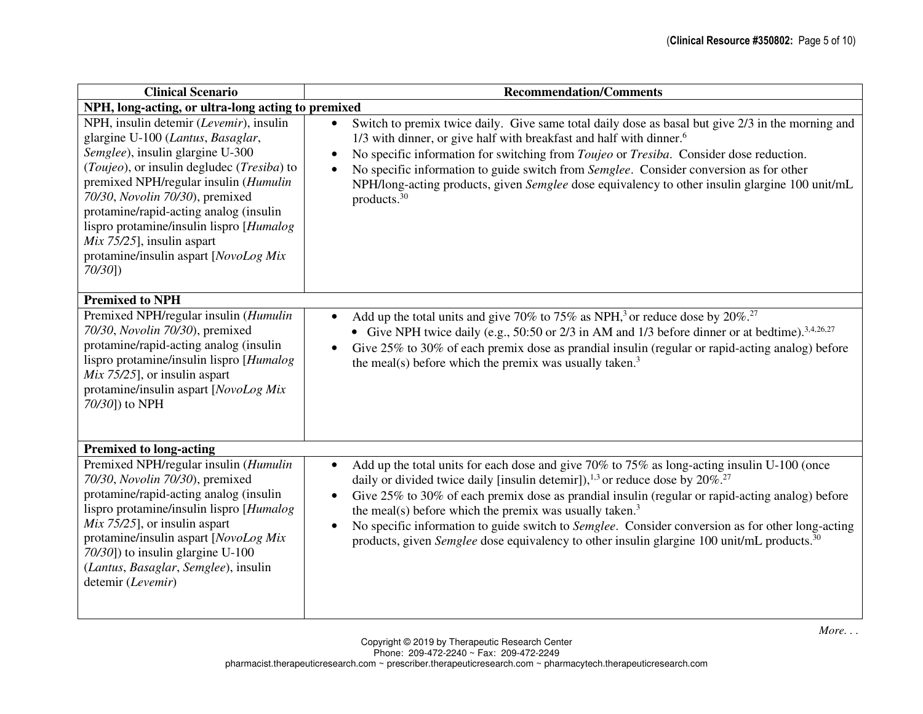| <b>Clinical Scenario</b>                                                                                                                                                                                                                                                                                                                                                                                                 | <b>Recommendation/Comments</b>                                                                                                                                                                                                                                                                                                                                                                                                                                                                                                                                                                                             |
|--------------------------------------------------------------------------------------------------------------------------------------------------------------------------------------------------------------------------------------------------------------------------------------------------------------------------------------------------------------------------------------------------------------------------|----------------------------------------------------------------------------------------------------------------------------------------------------------------------------------------------------------------------------------------------------------------------------------------------------------------------------------------------------------------------------------------------------------------------------------------------------------------------------------------------------------------------------------------------------------------------------------------------------------------------------|
| NPH, long-acting, or ultra-long acting to premixed                                                                                                                                                                                                                                                                                                                                                                       |                                                                                                                                                                                                                                                                                                                                                                                                                                                                                                                                                                                                                            |
| NPH, insulin detemir (Levemir), insulin<br>glargine U-100 (Lantus, Basaglar,<br>Semglee), insulin glargine U-300<br>(Toujeo), or insulin degludec (Tresiba) to<br>premixed NPH/regular insulin (Humulin<br>70/30, Novolin 70/30), premixed<br>protamine/rapid-acting analog (insulin<br>lispro protamine/insulin lispro [Humalog<br>$Mix 75/25$ ], insulin aspart<br>protamine/insulin aspart [NovoLog Mix<br>$70/30$ ]) | Switch to premix twice daily. Give same total daily dose as basal but give 2/3 in the morning and<br>$\bullet$<br>1/3 with dinner, or give half with breakfast and half with dinner. <sup>6</sup><br>No specific information for switching from <i>Toujeo</i> or <i>Tresiba</i> . Consider dose reduction.<br>$\bullet$<br>No specific information to guide switch from Semglee. Consider conversion as for other<br>$\bullet$<br>NPH/long-acting products, given Semglee dose equivalency to other insulin glargine 100 unit/mL<br>products. <sup>30</sup>                                                                |
| <b>Premixed to NPH</b>                                                                                                                                                                                                                                                                                                                                                                                                   |                                                                                                                                                                                                                                                                                                                                                                                                                                                                                                                                                                                                                            |
| Premixed NPH/regular insulin (Humulin<br>70/30, Novolin 70/30), premixed<br>protamine/rapid-acting analog (insulin<br>lispro protamine/insulin lispro [Humalog]<br>$Mix 75/25$ ], or insulin aspart<br>protamine/insulin aspart [NovoLog Mix<br>70/30]) to NPH                                                                                                                                                           | Add up the total units and give 70% to 75% as NPH, <sup>3</sup> or reduce dose by 20%. <sup>27</sup><br>$\bullet$<br>• Give NPH twice daily (e.g., 50:50 or 2/3 in AM and 1/3 before dinner or at bedtime). <sup>3,4,26,27</sup><br>Give 25% to 30% of each premix dose as prandial insulin (regular or rapid-acting analog) before<br>$\bullet$<br>the meal(s) before which the premix was usually taken. $3$                                                                                                                                                                                                             |
| <b>Premixed to long-acting</b>                                                                                                                                                                                                                                                                                                                                                                                           |                                                                                                                                                                                                                                                                                                                                                                                                                                                                                                                                                                                                                            |
| Premixed NPH/regular insulin (Humulin<br>70/30, Novolin 70/30), premixed<br>protamine/rapid-acting analog (insulin<br>lispro protamine/insulin lispro [Humalog]<br>$Mix 75/25$ ], or insulin aspart<br>protamine/insulin aspart [NovoLog Mix<br>70/30]) to insulin glargine U-100<br>(Lantus, Basaglar, Semglee), insulin<br>detemir (Levemir)                                                                           | Add up the total units for each dose and give 70% to 75% as long-acting insulin U-100 (once<br>$\bullet$<br>daily or divided twice daily [insulin detemir]), $^{1,3}$ or reduce dose by 20%. <sup>27</sup><br>Give 25% to 30% of each premix dose as prandial insulin (regular or rapid-acting analog) before<br>$\bullet$<br>the meal(s) before which the premix was usually taken. $3$<br>No specific information to guide switch to Semglee. Consider conversion as for other long-acting<br>$\bullet$<br>products, given <i>Semglee</i> dose equivalency to other insulin glargine 100 unit/mL products. <sup>30</sup> |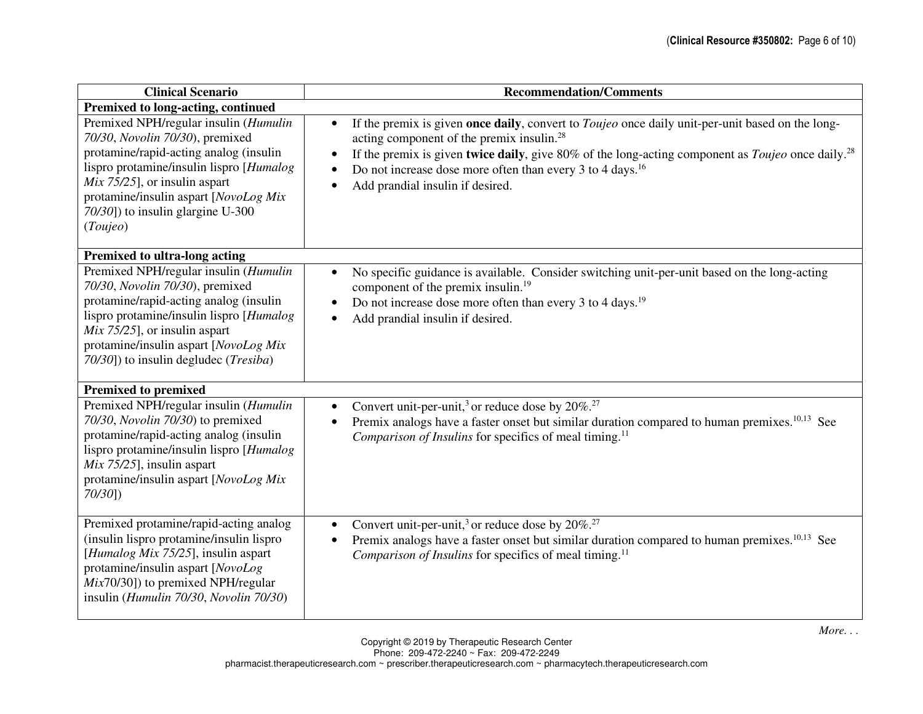| <b>Clinical Scenario</b>                                                                                                                                                                                                                                                                      | <b>Recommendation/Comments</b>                                                                                                                                                                                                                                                                                                                                                                                                                            |
|-----------------------------------------------------------------------------------------------------------------------------------------------------------------------------------------------------------------------------------------------------------------------------------------------|-----------------------------------------------------------------------------------------------------------------------------------------------------------------------------------------------------------------------------------------------------------------------------------------------------------------------------------------------------------------------------------------------------------------------------------------------------------|
| Premixed to long-acting, continued                                                                                                                                                                                                                                                            |                                                                                                                                                                                                                                                                                                                                                                                                                                                           |
| Premixed NPH/regular insulin (Humulin<br>70/30, Novolin 70/30), premixed<br>protamine/rapid-acting analog (insulin<br>lispro protamine/insulin lispro [Humalog]<br>$Mix 75/25$ ], or insulin aspart<br>protamine/insulin aspart [NovoLog Mix<br>70/30]) to insulin glargine U-300<br>(Toujeo) | If the premix is given once daily, convert to <i>Toujeo</i> once daily unit-per-unit based on the long-<br>$\bullet$<br>acting component of the premix insulin. <sup>28</sup><br>If the premix is given twice daily, give 80% of the long-acting component as <i>Toujeo</i> once daily. <sup>28</sup><br>$\bullet$<br>Do not increase dose more often than every 3 to 4 days. <sup>16</sup><br>$\bullet$<br>Add prandial insulin if desired.<br>$\bullet$ |
| <b>Premixed to ultra-long acting</b>                                                                                                                                                                                                                                                          |                                                                                                                                                                                                                                                                                                                                                                                                                                                           |
| Premixed NPH/regular insulin (Humulin<br>70/30, Novolin 70/30), premixed<br>protamine/rapid-acting analog (insulin<br>lispro protamine/insulin lispro [Humalog]<br>$Mix 75/25$ ], or insulin aspart<br>protamine/insulin aspart [NovoLog Mix<br>70/30]) to insulin degludec (Tresiba)         | No specific guidance is available. Consider switching unit-per-unit based on the long-acting<br>$\bullet$<br>component of the premix insulin. <sup>19</sup><br>Do not increase dose more often than every 3 to 4 days. <sup>19</sup><br>$\bullet$<br>Add prandial insulin if desired.<br>$\bullet$                                                                                                                                                        |
| <b>Premixed to premixed</b>                                                                                                                                                                                                                                                                   |                                                                                                                                                                                                                                                                                                                                                                                                                                                           |
| Premixed NPH/regular insulin (Humulin<br>70/30, Novolin 70/30) to premixed<br>protamine/rapid-acting analog (insulin<br>lispro protamine/insulin lispro [Humalog]<br>$Mix 75/25$ ], insulin aspart<br>protamine/insulin aspart [NovoLog Mix<br>70/30]                                         | Convert unit-per-unit, <sup>3</sup> or reduce dose by $20\%$ . <sup>27</sup><br>$\bullet$<br>Premix analogs have a faster onset but similar duration compared to human premixes. <sup>10,13</sup> See<br>$\bullet$<br><i>Comparison of Insulins</i> for specifics of meal timing. <sup>11</sup>                                                                                                                                                           |
| Premixed protamine/rapid-acting analog<br>(insulin lispro protamine/insulin lispro<br>[Humalog Mix 75/25], insulin aspart<br>protamine/insulin aspart [NovoLog<br>$Mix70/30]$ ) to premixed NPH/regular<br>insulin (Humulin 70/30, Novolin 70/30)                                             | Convert unit-per-unit, <sup>3</sup> or reduce dose by $20\%$ . <sup>27</sup><br>$\bullet$<br>Premix analogs have a faster onset but similar duration compared to human premixes. <sup>10,13</sup> See<br>$\bullet$<br>Comparison of Insulins for specifics of meal timing. <sup>11</sup>                                                                                                                                                                  |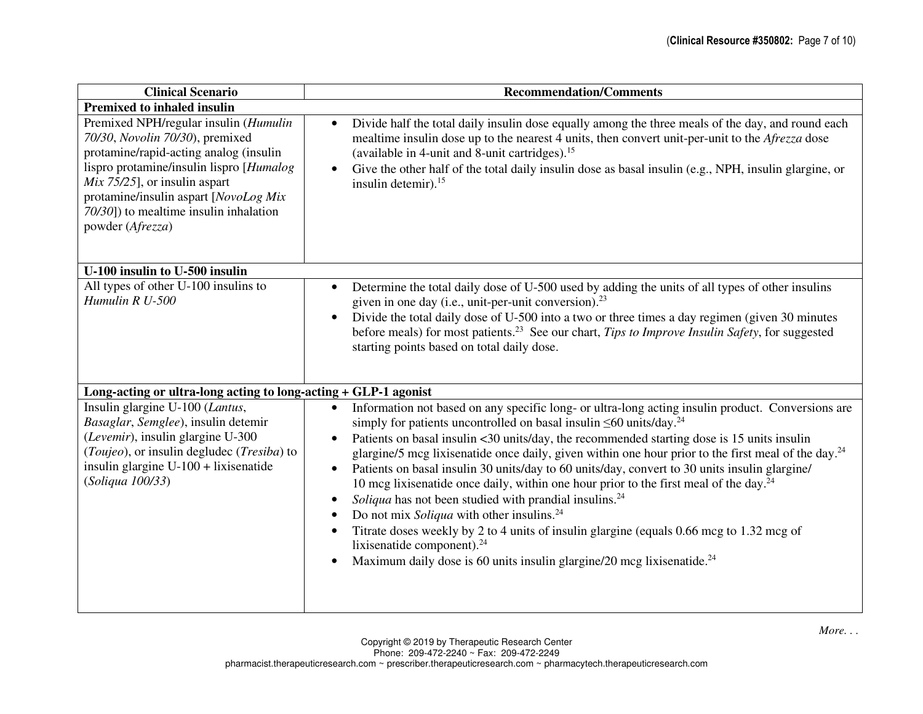| <b>Clinical Scenario</b>                                                                                                                                                                                                                                                                                   | <b>Recommendation/Comments</b>                                                                                                                                                                                                                                                                                                                                                                                                                                                                                                                                                                                                                                                                                                                                                                                                                                                                                                                                                                                         |
|------------------------------------------------------------------------------------------------------------------------------------------------------------------------------------------------------------------------------------------------------------------------------------------------------------|------------------------------------------------------------------------------------------------------------------------------------------------------------------------------------------------------------------------------------------------------------------------------------------------------------------------------------------------------------------------------------------------------------------------------------------------------------------------------------------------------------------------------------------------------------------------------------------------------------------------------------------------------------------------------------------------------------------------------------------------------------------------------------------------------------------------------------------------------------------------------------------------------------------------------------------------------------------------------------------------------------------------|
| <b>Premixed to inhaled insulin</b>                                                                                                                                                                                                                                                                         |                                                                                                                                                                                                                                                                                                                                                                                                                                                                                                                                                                                                                                                                                                                                                                                                                                                                                                                                                                                                                        |
| Premixed NPH/regular insulin (Humulin<br>70/30, Novolin 70/30), premixed<br>protamine/rapid-acting analog (insulin<br>lispro protamine/insulin lispro [Humalog]<br>$Mix 75/25$ ], or insulin aspart<br>protamine/insulin aspart [NovoLog Mix<br>70/30]) to mealtime insulin inhalation<br>powder (Afrezza) | Divide half the total daily insulin dose equally among the three meals of the day, and round each<br>$\bullet$<br>mealtime insulin dose up to the nearest 4 units, then convert unit-per-unit to the <i>Afrezza</i> dose<br>(available in 4-unit and 8-unit cartridges). <sup>15</sup><br>Give the other half of the total daily insulin dose as basal insulin (e.g., NPH, insulin glargine, or<br>$\bullet$<br>insulin detemir). <sup>15</sup>                                                                                                                                                                                                                                                                                                                                                                                                                                                                                                                                                                        |
| U-100 insulin to U-500 insulin                                                                                                                                                                                                                                                                             |                                                                                                                                                                                                                                                                                                                                                                                                                                                                                                                                                                                                                                                                                                                                                                                                                                                                                                                                                                                                                        |
| All types of other U-100 insulins to<br>Humulin R U-500                                                                                                                                                                                                                                                    | Determine the total daily dose of U-500 used by adding the units of all types of other insulins<br>$\bullet$<br>given in one day (i.e., unit-per-unit conversion). <sup>23</sup><br>Divide the total daily dose of U-500 into a two or three times a day regimen (given 30 minutes<br>$\bullet$<br>before meals) for most patients. <sup>23</sup> See our chart, Tips to Improve Insulin Safety, for suggested<br>starting points based on total daily dose.                                                                                                                                                                                                                                                                                                                                                                                                                                                                                                                                                           |
| Long-acting or ultra-long acting to long-acting + GLP-1 agonist                                                                                                                                                                                                                                            |                                                                                                                                                                                                                                                                                                                                                                                                                                                                                                                                                                                                                                                                                                                                                                                                                                                                                                                                                                                                                        |
| Insulin glargine U-100 (Lantus,<br>Basaglar, Semglee), insulin detemir<br>(Levemir), insulin glargine U-300<br>(Toujeo), or insulin degludec (Tresiba) to<br>insulin glargine U-100 + lixisenatide<br>(Soliqua 100/33)                                                                                     | Information not based on any specific long- or ultra-long acting insulin product. Conversions are<br>simply for patients uncontrolled on basal insulin $\leq 60$ units/day. <sup>24</sup><br>Patients on basal insulin <30 units/day, the recommended starting dose is 15 units insulin<br>$\bullet$<br>glargine/5 mcg lixisenatide once daily, given within one hour prior to the first meal of the day. <sup>24</sup><br>Patients on basal insulin 30 units/day to 60 units/day, convert to 30 units insulin glargine/<br>$\bullet$<br>10 mcg lixisenatide once daily, within one hour prior to the first meal of the day. <sup>24</sup><br>Soliqua has not been studied with prandial insulins. <sup>24</sup><br>$\bullet$<br>Do not mix Soliqua with other insulins. <sup>24</sup><br>$\bullet$<br>Titrate doses weekly by 2 to 4 units of insulin glargine (equals 0.66 mcg to 1.32 mcg of<br>lixisenatide component). $24$<br>Maximum daily dose is 60 units insulin glargine/20 mcg lixisenatide. <sup>24</sup> |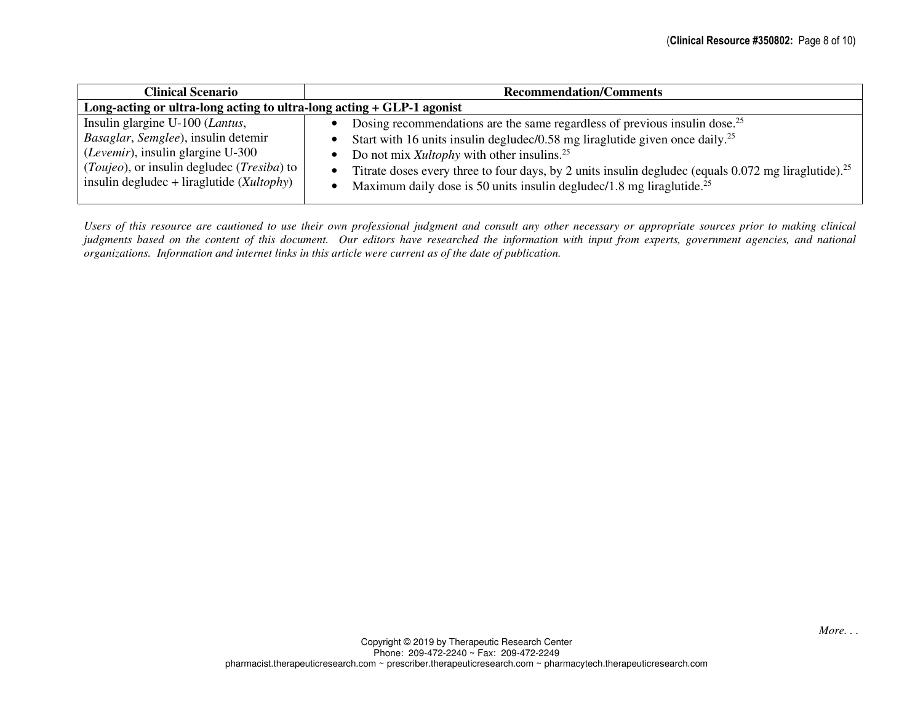| <b>Clinical Scenario</b>                                                                                                                                                                                                   | <b>Recommendation/Comments</b>                                                                                                                                                                                                                                                                                                                                                                                                                                                                                                         |
|----------------------------------------------------------------------------------------------------------------------------------------------------------------------------------------------------------------------------|----------------------------------------------------------------------------------------------------------------------------------------------------------------------------------------------------------------------------------------------------------------------------------------------------------------------------------------------------------------------------------------------------------------------------------------------------------------------------------------------------------------------------------------|
| Long-acting or ultra-long acting to ultra-long acting + GLP-1 agonist                                                                                                                                                      |                                                                                                                                                                                                                                                                                                                                                                                                                                                                                                                                        |
| Insulin glargine U-100 (Lantus,<br>Basaglar, Semglee), insulin detemir<br>(Levemir), insulin glargine U-300<br>( <i>Toujeo</i> ), or insulin degludec ( <i>Tresiba</i> ) to<br>insulin degludec + liraglutide $(Xultophy)$ | Dosing recommendations are the same regardless of previous insulin dose. <sup>25</sup><br>$\bullet$<br>Start with 16 units insulin deglude $\frac{1}{58}$ mg liraglutide given once daily. <sup>25</sup><br>$\bullet$<br>Do not mix <i>Xultophy</i> with other insulins. <sup>25</sup><br>$\bullet$<br>Titrate doses every three to four days, by 2 units insulin degludec (equals 0.072 mg liraglutide). <sup>25</sup><br>$\bullet$<br>Maximum daily dose is 50 units insulin degludec/1.8 mg liraglutide. <sup>25</sup><br>$\bullet$ |

*Users of this resource are cautioned to use their own professional judgment and consult any other necessary or appropriate sources prior to making clinical judgments based on the content of this document. Our editors have researched the information with input from experts, government agencies, and national organizations. Information and internet links in this article were current as of the date of publication.*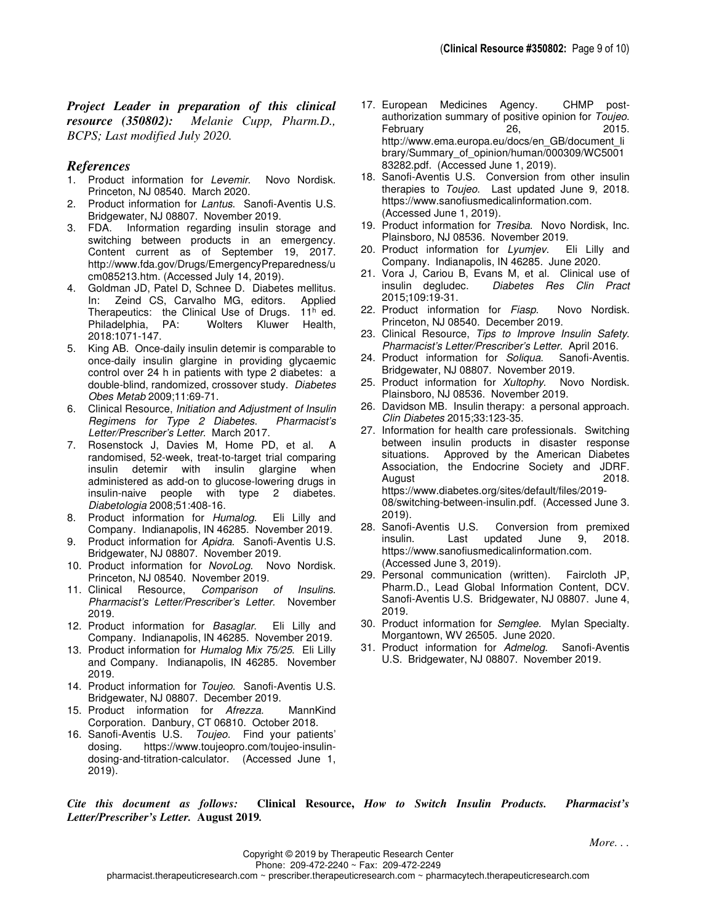*Project Leader in preparation of this clinical resource (350802): Melanie Cupp, Pharm.D., BCPS; Last modified July 2020.*

## *References*

- 1. Product information for Levemir. Novo Nordisk. Princeton, NJ 08540. March 2020.
- 2. Product information for Lantus. Sanofi-Aventis U.S. Bridgewater, NJ 08807. November 2019.
- 3. FDA. Information regarding insulin storage and switching between products in an emergency. Content current as of September 19, 2017. http://www.fda.gov/Drugs/EmergencyPreparedness/u cm085213.htm. (Accessed July 14, 2019).
- 4. Goldman JD, Patel D, Schnee D. Diabetes mellitus. In: Zeind CS, Carvalho MG, editors. Applied Therapeutics: the Clinical Use of Drugs. 11<sup>h</sup> ed. Philadelphia, PA: Wolters Kluwer Health, 2018:1071-147.
- 5. King AB. Once-daily insulin detemir is comparable to once-daily insulin glargine in providing glycaemic control over 24 h in patients with type 2 diabetes: a double-blind, randomized, crossover study. Diabetes Obes Metab 2009;11:69-71.
- 6. Clinical Resource, Initiation and Adjustment of Insulin Regimens for Type 2 Diabetes. Pharmacist's Letter/Prescriber's Letter. March 2017.
- 7. Rosenstock J, Davies M, Home PD, et al. A randomised, 52-week, treat-to-target trial comparing insulin detemir with insulin glargine when administered as add-on to glucose-lowering drugs in insulin-naive people with type 2 diabetes. Diabetologia 2008;51:408-16.
- 8. Product information for Humalog. Eli Lilly and Company. Indianapolis, IN 46285. November 2019.
- 9. Product information for Apidra. Sanofi-Aventis U.S. Bridgewater, NJ 08807. November 2019.
- 10. Product information for NovoLog. Novo Nordisk. Princeton, NJ 08540. November 2019.
- 11. Clinical Resource, Comparison of Insulins. Pharmacist's Letter/Prescriber's Letter. November 2019.
- 12. Product information for Basaglar. Eli Lilly and Company. Indianapolis, IN 46285. November 2019.
- 13. Product information for Humalog Mix 75/25. Eli Lilly and Company. Indianapolis, IN 46285. November 2019.
- 14. Product information for Toujeo. Sanofi-Aventis U.S. Bridgewater, NJ 08807. December 2019.
- 15. Product information for Afrezza. MannKind Corporation. Danbury, CT 06810. October 2018.
- 16. Sanofi-Aventis U.S. Toujeo. Find your patients' dosing. https://www.toujeopro.com/toujeo-insulindosing-and-titration-calculator. (Accessed June 1, 2019).
- 17. European Medicines Agency. CHMP postauthorization summary of positive opinion for Toujeo. February 26, 2015. http://www.ema.europa.eu/docs/en\_GB/document\_li brary/Summary\_of\_opinion/human/000309/WC5001 83282.pdf. (Accessed June 1, 2019).
- 18. Sanofi-Aventis U.S. Conversion from other insulin therapies to Toujeo. Last updated June 9, 2018. https://www.sanofiusmedicalinformation.com. (Accessed June 1, 2019).
- 19. Product information for Tresiba. Novo Nordisk, Inc. Plainsboro, NJ 08536. November 2019.
- 20. Product information for Lyumjev. Eli Lilly and Company. Indianapolis, IN 46285. June 2020.
- 21. Vora J, Cariou B, Evans M, et al. Clinical use of insulin degludec. Diabetes Res Clin Pract 2015;109:19-31.
- 22. Product information for Fiasp. Novo Nordisk. Princeton, NJ 08540. December 2019.
- 23. Clinical Resource, Tips to Improve Insulin Safety. Pharmacist's Letter/Prescriber's Letter. April 2016.<br>Product information for Soligua. Sanofi-Aventis.
- 24. Product information for Soliqua. Bridgewater, NJ 08807. November 2019.
- 25. Product information for Xultophy. Novo Nordisk. Plainsboro, NJ 08536. November 2019.
- 26. Davidson MB. Insulin therapy: a personal approach. Clin Diabetes 2015;33:123-35.
- 27. Information for health care professionals. Switching between insulin products in disaster response situations. Approved by the American Diabetes Association, the Endocrine Society and JDRF. August 2018. https://www.diabetes.org/sites/default/files/2019- 08/switching-between-insulin.pdf. (Accessed June 3. 2019).
- 28. Sanofi-Aventis U.S. Conversion from premixed insulin. Last updated June 9, 2018. https://www.sanofiusmedicalinformation.com. (Accessed June 3, 2019).
- 29. Personal communication (written). Faircloth JP, Pharm.D., Lead Global Information Content, DCV. Sanofi-Aventis U.S. Bridgewater, NJ 08807. June 4, 2019.
- 30. Product information for Semglee. Mylan Specialty. Morgantown, WV 26505. June 2020.
- 31. Product information for Admelog. Sanofi-Aventis U.S. Bridgewater, NJ 08807. November 2019.

*Cite this document as follows:* **Clinical Resource,** *How to Switch Insulin Products. Pharmacist's Letter/Prescriber's Letter.* **August 2019***.*